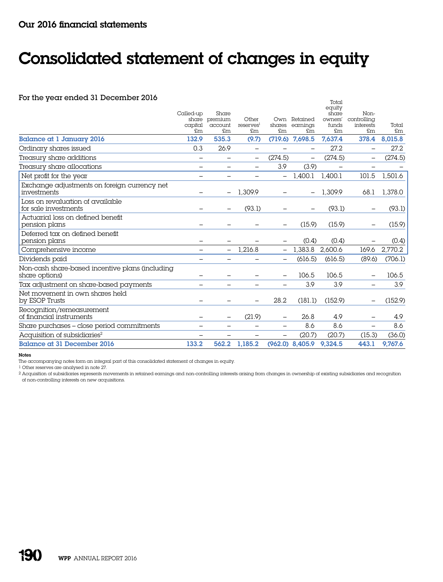## Consolidated statement of changes in equity

## For the year ended 31 December 2016

|                                                                   | Called-up<br>capital<br>£m. | Share<br>share premium<br>account<br>£m | Other<br>reserves <sup>1</sup><br>£m | £m                | Own Retained<br>shares earnings<br>£m. | equity<br>share<br>owners'<br>funds<br>$\mathsf{fm}$ | Non-<br>controlling<br>interests<br>£m | Total<br>£m |
|-------------------------------------------------------------------|-----------------------------|-----------------------------------------|--------------------------------------|-------------------|----------------------------------------|------------------------------------------------------|----------------------------------------|-------------|
| <b>Balance at 1 January 2016</b>                                  | 132.9                       | 535.3                                   | (9.7)                                | (719.6)           | 7,698.5                                | 7,637.4                                              | 378.4                                  | 8,015.8     |
| Ordinary shares issued                                            | 0.3                         | 26.9                                    | —                                    |                   |                                        | 27.2                                                 | $\overline{\phantom{0}}$               | 27.2        |
| Treasury share additions                                          | $\overline{\phantom{0}}$    |                                         | —                                    | (274.5)           | $\overline{\phantom{m}}$               | (274.5)                                              | $\overline{\phantom{m}}$               | (274.5)     |
| Treasury share allocations                                        | -                           | $\qquad \qquad$                         |                                      | 3.9               | (3.9)                                  |                                                      | $\overline{\phantom{0}}$               |             |
| Net profit for the year                                           | —                           |                                         |                                      |                   | 1,400.1                                | 1,400.1                                              | 101.5                                  | 1,501.6     |
| Exchange adjustments on foreign currency net<br>investments       |                             |                                         | 1.309.9                              |                   |                                        | 1.309.9                                              | 68.1                                   | 1,378.0     |
| Loss on revaluation of available<br>for sale investments          |                             |                                         | (93.1)                               |                   |                                        | (93.1)                                               |                                        | (93.1)      |
| Actuarial loss on defined benefit<br>pension plans                |                             |                                         |                                      |                   | (15.9)                                 | (15.9)                                               |                                        | (15.9)      |
| Deferred tax on defined benefit                                   |                             |                                         |                                      |                   |                                        |                                                      |                                        |             |
| pension plans                                                     |                             |                                         |                                      |                   | (0.4)                                  | (0.4)                                                |                                        | (0.4)       |
| Comprehensive income                                              |                             | $\qquad \qquad -$                       | 1,216.8                              | $\qquad \qquad -$ | 1,383.8                                | 2,600.6                                              | 169.6                                  | 2,770.2     |
| Dividends paid                                                    | $\overline{\phantom{0}}$    | $\overline{\phantom{0}}$                |                                      | $\qquad \qquad -$ | (616.5)                                | (616.5)                                              | (89.6)                                 | (706.1)     |
| Non-cash share-based incentive plans (including<br>share options) |                             |                                         |                                      |                   | 106.5                                  | 106.5                                                | $\qquad \qquad -$                      | 106.5       |
| Tax adjustment on share-based payments                            |                             |                                         |                                      |                   | 3.9                                    | 3.9                                                  | $\overline{\phantom{0}}$               | 3.9         |
| Net movement in own shares held<br>by ESOP Trusts                 |                             |                                         |                                      | 28.2              | (181.1)                                | (152.9)                                              |                                        | (152.9)     |
| Recognition/remeasurement<br>of financial instruments             |                             |                                         | (21.9)                               |                   | 26.8                                   | 4.9                                                  |                                        | 4.9         |
| Share purchases - close period commitments                        | —                           |                                         |                                      |                   | 8.6                                    | 8.6                                                  | $\overline{\phantom{0}}$               | 8.6         |
| Acquisition of subsidiaries <sup>2</sup>                          | —                           |                                         |                                      | $\qquad \qquad -$ | (20.7)                                 | (20.7)                                               | (15.3)                                 | (36.0)      |
| <b>Balance at 31 December 2016</b>                                | 133.2                       | 562.2                                   | 1,185.2                              |                   | $(962.0)$ 8,405.9                      | 9.324.5                                              | 443.1                                  | 9,767.6     |

Total

Notes

The accompanying notes form an integral part of this consolidated statement of changes in equity.

1 Other reserves are analysed in note 27.

2 Acquisition of subsidiaries represents movements in retained earnings and non-controlling interests arising from changes in ownership of existing subsidiaries and recognition of non-controlling interests on new acquisitions.